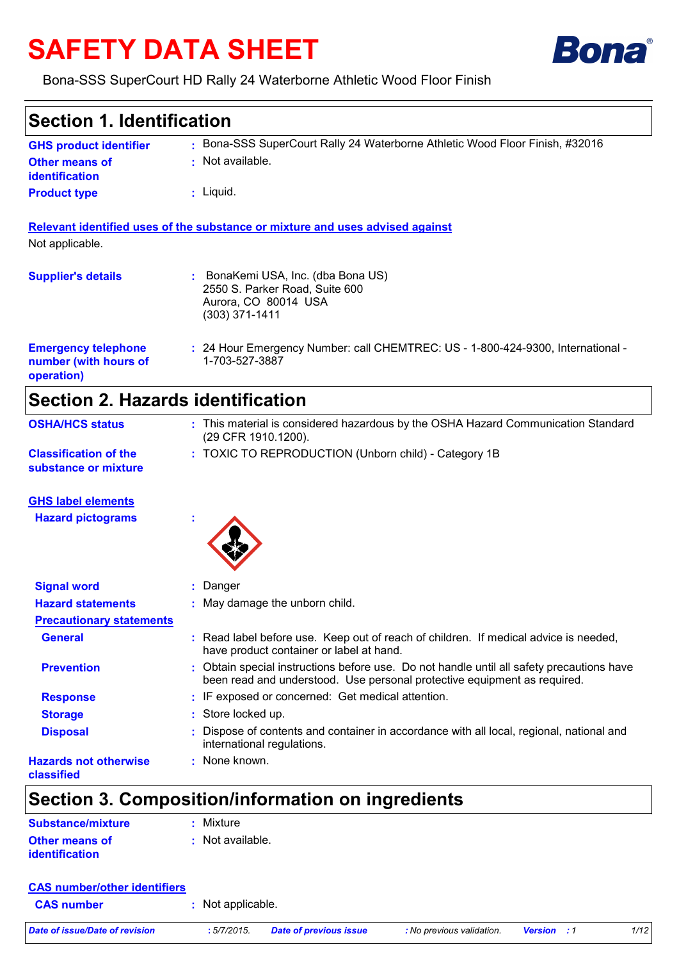# **SAFETY DATA SHEET**



### Bona-SSS SuperCourt HD Rally 24 Waterborne Athletic Wood Floor Finish

### Bona-SSS SuperCourt Rally 24 Waterborne Athletic Wood Floor Finish, #32016 **:** Not available. **:** Liquid. **:** 24 Hour Emergency Number: call CHEMTREC: US - 1-800-424-9300, International - **:** 1-703-527-3887 **GHS product identifier Other means of identification Product type Emergency telephone number (with hours of operation) Section 1. Identification Supplier's details :** BonaKemi USA, Inc. (dba Bona US) 2550 S. Parker Road, Suite 600 Aurora, CO 80014 USA (303) 371-1411 **Relevant identified uses of the substance or mixture and uses advised against** Not applicable. **Section 2. Hazards identification Classification of the** TOXIC TO REPRODUCTION (Unborn child) - Category 1B **: OSHA/HCS status :** This material is considered hazardous by the OSHA Hazard Communication Standard (29 CFR 1910.1200).

**substance or mixture**

**GHS label elements**

**Hazard pictograms :**



| <b>Signal word</b>                         | : Danger                                                                                                                                                              |
|--------------------------------------------|-----------------------------------------------------------------------------------------------------------------------------------------------------------------------|
| <b>Hazard statements</b>                   | : May damage the unborn child.                                                                                                                                        |
| <b>Precautionary statements</b>            |                                                                                                                                                                       |
| <b>General</b>                             | : Read label before use. Keep out of reach of children. If medical advice is needed,<br>have product container or label at hand.                                      |
| <b>Prevention</b>                          | : Obtain special instructions before use. Do not handle until all safety precautions have<br>been read and understood. Use personal protective equipment as required. |
| <b>Response</b>                            | : IF exposed or concerned: Get medical attention.                                                                                                                     |
| <b>Storage</b>                             | : Store locked up.                                                                                                                                                    |
| <b>Disposal</b>                            | : Dispose of contents and container in accordance with all local, regional, national and<br>international regulations.                                                |
| <b>Hazards not otherwise</b><br>classified | : None known.                                                                                                                                                         |

### **Section 3. Composition/information on ingredients**

| <b>Substance/mixture</b> | : Mixture          |
|--------------------------|--------------------|
| <b>Other means of</b>    | $:$ Not available. |
| <b>identification</b>    |                    |

| <b>CAS number/other identifiers</b> |                   |                               |                           |                    |      |
|-------------------------------------|-------------------|-------------------------------|---------------------------|--------------------|------|
| <b>CAS number</b>                   | : Not applicable. |                               |                           |                    |      |
| Date of issue/Date of revision      | : 5/7/2015.       | <b>Date of previous issue</b> | : No previous validation. | <b>Version</b> : 1 | 1/12 |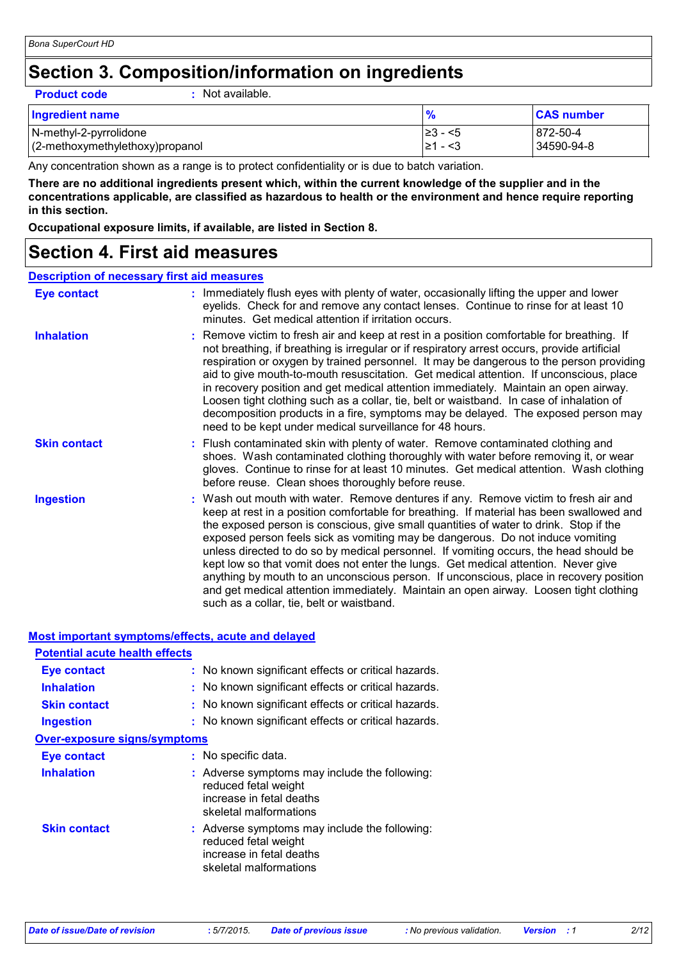### **Section 3. Composition/information on ingredients**

**Product code :** Not available.

| <b>Ingredient name</b>          |               | <b>CAS number</b> |
|---------------------------------|---------------|-------------------|
| N-methyl-2-pyrrolidone          | $\geq$ 3 − <5 | 872-50-4          |
| (2-methoxymethylethoxy)propanol | I≥1 - <3      | 34590-94-8        |

Any concentration shown as a range is to protect confidentiality or is due to batch variation.

**There are no additional ingredients present which, within the current knowledge of the supplier and in the concentrations applicable, are classified as hazardous to health or the environment and hence require reporting in this section.**

**Occupational exposure limits, if available, are listed in Section 8.**

### **Section 4. First aid measures**

### **Description of necessary first aid measures**

| <b>Eye contact</b>  | : Immediately flush eyes with plenty of water, occasionally lifting the upper and lower<br>eyelids. Check for and remove any contact lenses. Continue to rinse for at least 10<br>minutes. Get medical attention if irritation occurs.                                                                                                                                                                                                                                                                                                                                                                                                                                                                                                                                    |
|---------------------|---------------------------------------------------------------------------------------------------------------------------------------------------------------------------------------------------------------------------------------------------------------------------------------------------------------------------------------------------------------------------------------------------------------------------------------------------------------------------------------------------------------------------------------------------------------------------------------------------------------------------------------------------------------------------------------------------------------------------------------------------------------------------|
| <b>Inhalation</b>   | : Remove victim to fresh air and keep at rest in a position comfortable for breathing. If<br>not breathing, if breathing is irregular or if respiratory arrest occurs, provide artificial<br>respiration or oxygen by trained personnel. It may be dangerous to the person providing<br>aid to give mouth-to-mouth resuscitation. Get medical attention. If unconscious, place<br>in recovery position and get medical attention immediately. Maintain an open airway.<br>Loosen tight clothing such as a collar, tie, belt or waistband. In case of inhalation of<br>decomposition products in a fire, symptoms may be delayed. The exposed person may<br>need to be kept under medical surveillance for 48 hours.                                                       |
| <b>Skin contact</b> | : Flush contaminated skin with plenty of water. Remove contaminated clothing and<br>shoes. Wash contaminated clothing thoroughly with water before removing it, or wear<br>gloves. Continue to rinse for at least 10 minutes. Get medical attention. Wash clothing<br>before reuse. Clean shoes thoroughly before reuse.                                                                                                                                                                                                                                                                                                                                                                                                                                                  |
| <b>Ingestion</b>    | : Wash out mouth with water. Remove dentures if any. Remove victim to fresh air and<br>keep at rest in a position comfortable for breathing. If material has been swallowed and<br>the exposed person is conscious, give small quantities of water to drink. Stop if the<br>exposed person feels sick as vomiting may be dangerous. Do not induce vomiting<br>unless directed to do so by medical personnel. If vomiting occurs, the head should be<br>kept low so that vomit does not enter the lungs. Get medical attention. Never give<br>anything by mouth to an unconscious person. If unconscious, place in recovery position<br>and get medical attention immediately. Maintain an open airway. Loosen tight clothing<br>such as a collar, tie, belt or waistband. |

### **Most important symptoms/effects, acute and delayed**

| <b>Potential acute health effects</b> |                                                                                                                             |
|---------------------------------------|-----------------------------------------------------------------------------------------------------------------------------|
| <b>Eye contact</b>                    | : No known significant effects or critical hazards.                                                                         |
| <b>Inhalation</b>                     | : No known significant effects or critical hazards.                                                                         |
| <b>Skin contact</b>                   | : No known significant effects or critical hazards.                                                                         |
| <b>Ingestion</b>                      | : No known significant effects or critical hazards.                                                                         |
| <b>Over-exposure signs/symptoms</b>   |                                                                                                                             |
| <b>Eye contact</b>                    | : No specific data.                                                                                                         |
| <b>Inhalation</b>                     | : Adverse symptoms may include the following:<br>reduced fetal weight<br>increase in fetal deaths<br>skeletal malformations |
| <b>Skin contact</b>                   | : Adverse symptoms may include the following:<br>reduced fetal weight<br>increase in fetal deaths<br>skeletal malformations |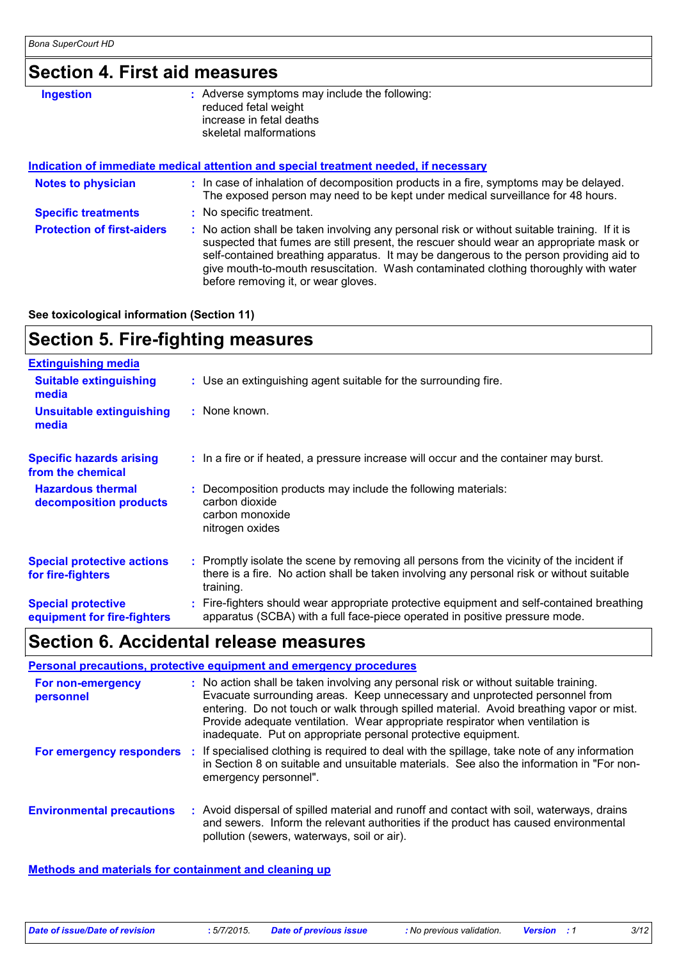### **Section 4. First aid measures**

| <b>Ingestion</b>                  | : Adverse symptoms may include the following:<br>reduced fetal weight<br>increase in fetal deaths<br>skeletal malformations                                                                                                                                                       |  |
|-----------------------------------|-----------------------------------------------------------------------------------------------------------------------------------------------------------------------------------------------------------------------------------------------------------------------------------|--|
|                                   | Indication of immediate medical attention and special treatment needed, if necessary                                                                                                                                                                                              |  |
| <b>Notes to physician</b>         | : In case of inhalation of decomposition products in a fire, symptoms may be delayed.<br>The exposed person may need to be kept under medical surveillance for 48 hours.                                                                                                          |  |
| <b>Specific treatments</b>        | : No specific treatment.                                                                                                                                                                                                                                                          |  |
| <b>Protection of first-aiders</b> | : No action shall be taken involving any personal risk or without suitable training. If it is<br>suspected that fumes are still present, the rescuer should wear an appropriate mask or<br>self-contained breathing apparatus. It may be dangerous to the person providing aid to |  |

before removing it, or wear gloves.

give mouth-to-mouth resuscitation. Wash contaminated clothing thoroughly with water

**See toxicological information (Section 11)**

### **Section 5. Fire-fighting measures**

| <b>Extinguishing media</b>                               |                                                                                                                                                                                                     |
|----------------------------------------------------------|-----------------------------------------------------------------------------------------------------------------------------------------------------------------------------------------------------|
| <b>Suitable extinguishing</b><br>media                   | : Use an extinguishing agent suitable for the surrounding fire.                                                                                                                                     |
| <b>Unsuitable extinguishing</b><br>media                 | : None known.                                                                                                                                                                                       |
| <b>Specific hazards arising</b><br>from the chemical     | : In a fire or if heated, a pressure increase will occur and the container may burst.                                                                                                               |
| <b>Hazardous thermal</b><br>decomposition products       | : Decomposition products may include the following materials:<br>carbon dioxide<br>carbon monoxide<br>nitrogen oxides                                                                               |
| <b>Special protective actions</b><br>for fire-fighters   | : Promptly isolate the scene by removing all persons from the vicinity of the incident if<br>there is a fire. No action shall be taken involving any personal risk or without suitable<br>training. |
| <b>Special protective</b><br>equipment for fire-fighters | : Fire-fighters should wear appropriate protective equipment and self-contained breathing<br>apparatus (SCBA) with a full face-piece operated in positive pressure mode.                            |

### **Section 6. Accidental release measures**

|                                  | Personal precautions, protective equipment and emergency procedures                                                                                                                                                                                                                                                                                                                                              |
|----------------------------------|------------------------------------------------------------------------------------------------------------------------------------------------------------------------------------------------------------------------------------------------------------------------------------------------------------------------------------------------------------------------------------------------------------------|
| For non-emergency<br>personnel   | : No action shall be taken involving any personal risk or without suitable training.<br>Evacuate surrounding areas. Keep unnecessary and unprotected personnel from<br>entering. Do not touch or walk through spilled material. Avoid breathing vapor or mist.<br>Provide adequate ventilation. Wear appropriate respirator when ventilation is<br>inadequate. Put on appropriate personal protective equipment. |
| For emergency responders         | : If specialised clothing is required to deal with the spillage, take note of any information<br>in Section 8 on suitable and unsuitable materials. See also the information in "For non-<br>emergency personnel".                                                                                                                                                                                               |
| <b>Environmental precautions</b> | : Avoid dispersal of spilled material and runoff and contact with soil, waterways, drains<br>and sewers. Inform the relevant authorities if the product has caused environmental<br>pollution (sewers, waterways, soil or air).                                                                                                                                                                                  |

**Methods and materials for containment and cleaning up**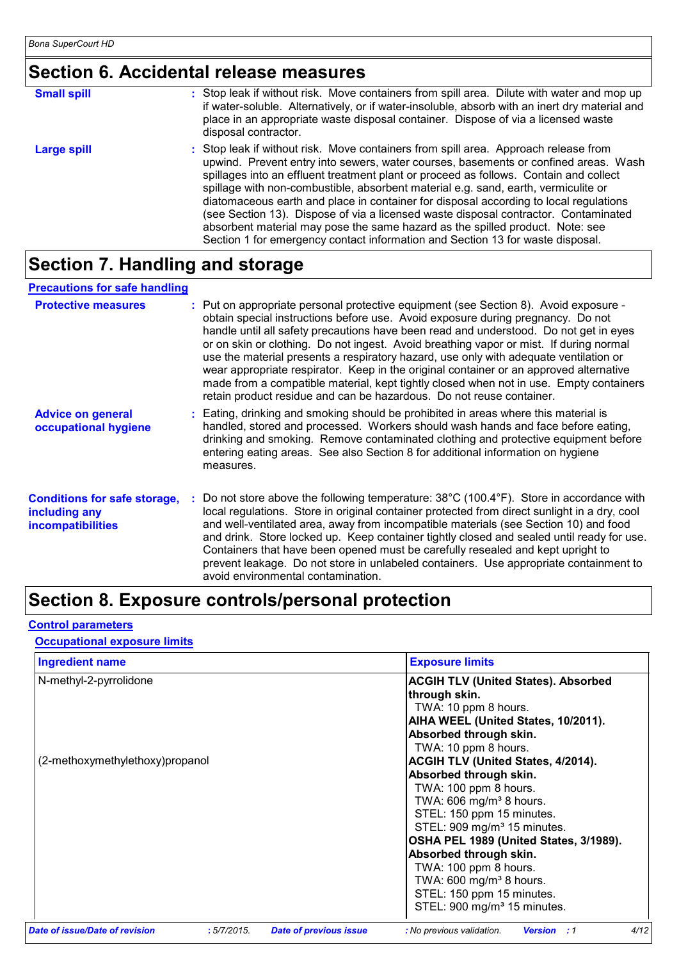### **Section 6. Accidental release measures**

| <b>Small spill</b> | : Stop leak if without risk. Move containers from spill area. Dilute with water and mop up<br>if water-soluble. Alternatively, or if water-insoluble, absorb with an inert dry material and<br>place in an appropriate waste disposal container. Dispose of via a licensed waste<br>disposal contractor.                                                                                                                                                                                                                                                                                                                                                                                                     |
|--------------------|--------------------------------------------------------------------------------------------------------------------------------------------------------------------------------------------------------------------------------------------------------------------------------------------------------------------------------------------------------------------------------------------------------------------------------------------------------------------------------------------------------------------------------------------------------------------------------------------------------------------------------------------------------------------------------------------------------------|
| <b>Large spill</b> | : Stop leak if without risk. Move containers from spill area. Approach release from<br>upwind. Prevent entry into sewers, water courses, basements or confined areas. Wash<br>spillages into an effluent treatment plant or proceed as follows. Contain and collect<br>spillage with non-combustible, absorbent material e.g. sand, earth, vermiculite or<br>diatomaceous earth and place in container for disposal according to local regulations<br>(see Section 13). Dispose of via a licensed waste disposal contractor. Contaminated<br>absorbent material may pose the same hazard as the spilled product. Note: see<br>Section 1 for emergency contact information and Section 13 for waste disposal. |

### **Section 7. Handling and storage**

### **Precautions for safe handling**

| <b>Protective measures</b>                                                       | : Put on appropriate personal protective equipment (see Section 8). Avoid exposure -<br>obtain special instructions before use. Avoid exposure during pregnancy. Do not<br>handle until all safety precautions have been read and understood. Do not get in eyes<br>or on skin or clothing. Do not ingest. Avoid breathing vapor or mist. If during normal<br>use the material presents a respiratory hazard, use only with adequate ventilation or<br>wear appropriate respirator. Keep in the original container or an approved alternative<br>made from a compatible material, kept tightly closed when not in use. Empty containers<br>retain product residue and can be hazardous. Do not reuse container. |
|----------------------------------------------------------------------------------|-----------------------------------------------------------------------------------------------------------------------------------------------------------------------------------------------------------------------------------------------------------------------------------------------------------------------------------------------------------------------------------------------------------------------------------------------------------------------------------------------------------------------------------------------------------------------------------------------------------------------------------------------------------------------------------------------------------------|
| <b>Advice on general</b><br>occupational hygiene                                 | : Eating, drinking and smoking should be prohibited in areas where this material is<br>handled, stored and processed. Workers should wash hands and face before eating,<br>drinking and smoking. Remove contaminated clothing and protective equipment before<br>entering eating areas. See also Section 8 for additional information on hygiene<br>measures.                                                                                                                                                                                                                                                                                                                                                   |
| <b>Conditions for safe storage,</b><br>including any<br><b>incompatibilities</b> | Do not store above the following temperature: 38°C (100.4°F). Store in accordance with<br>local regulations. Store in original container protected from direct sunlight in a dry, cool<br>and well-ventilated area, away from incompatible materials (see Section 10) and food<br>and drink. Store locked up. Keep container tightly closed and sealed until ready for use.<br>Containers that have been opened must be carefully resealed and kept upright to<br>prevent leakage. Do not store in unlabeled containers. Use appropriate containment to<br>avoid environmental contamination.                                                                                                                   |

### **Section 8. Exposure controls/personal protection**

### **Control parameters**

### **Occupational exposure limits**

| <b>Ingredient name</b>                |            |                               | <b>Exposure limits</b>                                  |
|---------------------------------------|------------|-------------------------------|---------------------------------------------------------|
| N-methyl-2-pyrrolidone                |            |                               | <b>ACGIH TLV (United States). Absorbed</b>              |
|                                       |            |                               | through skin.                                           |
|                                       |            |                               | TWA: 10 ppm 8 hours.                                    |
|                                       |            |                               | AIHA WEEL (United States, 10/2011).                     |
|                                       |            |                               | Absorbed through skin.                                  |
|                                       |            |                               | TWA: 10 ppm 8 hours.                                    |
| (2-methoxymethylethoxy)propanol       |            |                               | <b>ACGIH TLV (United States, 4/2014).</b>               |
|                                       |            |                               | Absorbed through skin.                                  |
|                                       |            |                               | TWA: 100 ppm 8 hours.                                   |
|                                       |            |                               | TWA: 606 mg/m <sup>3</sup> 8 hours.                     |
|                                       |            |                               | STEL: 150 ppm 15 minutes.                               |
|                                       |            |                               | STEL: 909 mg/m <sup>3</sup> 15 minutes.                 |
|                                       |            |                               | OSHA PEL 1989 (United States, 3/1989).                  |
|                                       |            |                               | Absorbed through skin.                                  |
|                                       |            |                               | TWA: 100 ppm 8 hours.                                   |
|                                       |            |                               | TWA: 600 mg/m <sup>3</sup> 8 hours.                     |
|                                       |            |                               | STEL: 150 ppm 15 minutes.                               |
|                                       |            |                               | STEL: 900 mg/m <sup>3</sup> 15 minutes.                 |
| <b>Date of issue/Date of revision</b> | :5/7/2015. | <b>Date of previous issue</b> | 4/12<br>: No previous validation.<br><b>Version</b> : 1 |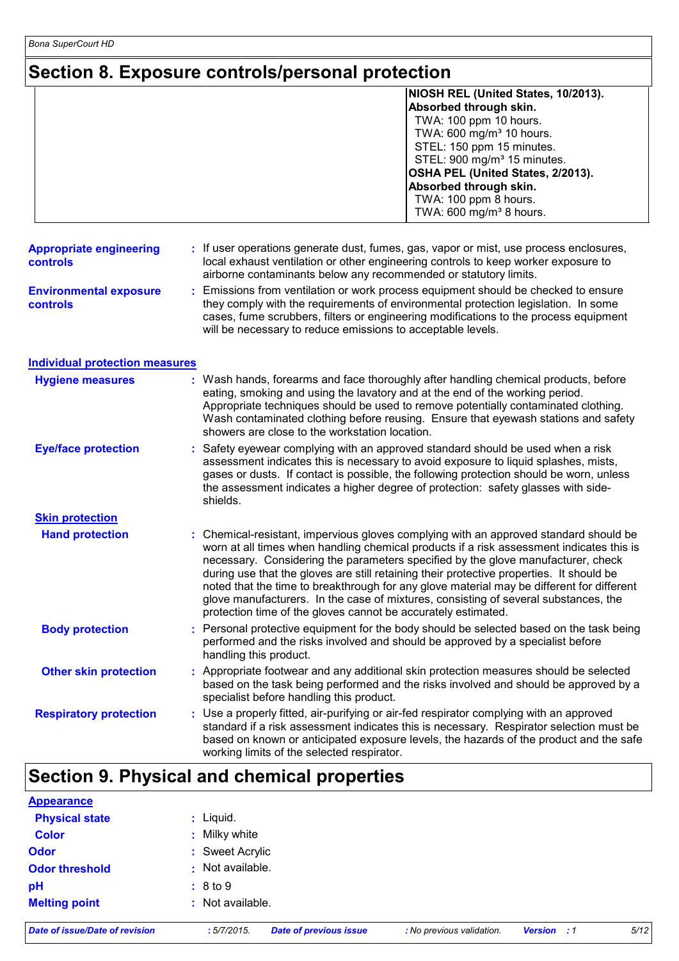*Bona SuperCourt HD*

### **Section 8. Exposure controls/personal protection**

|                                            | NIOSH REL (United States, 10/2013).<br>Absorbed through skin.<br>TWA: 100 ppm 10 hours.<br>TWA: 600 mg/m <sup>3</sup> 10 hours.<br>STEL: 150 ppm 15 minutes.<br>STEL: 900 mg/m <sup>3</sup> 15 minutes.<br>OSHA PEL (United States, 2/2013).<br>Absorbed through skin.<br>TWA: 100 ppm 8 hours.<br>TWA: 600 mg/m <sup>3</sup> 8 hours.                                                                                                                                                                                                                                                                                 |  |  |
|--------------------------------------------|------------------------------------------------------------------------------------------------------------------------------------------------------------------------------------------------------------------------------------------------------------------------------------------------------------------------------------------------------------------------------------------------------------------------------------------------------------------------------------------------------------------------------------------------------------------------------------------------------------------------|--|--|
| <b>Appropriate engineering</b><br>controls | If user operations generate dust, fumes, gas, vapor or mist, use process enclosures,<br>local exhaust ventilation or other engineering controls to keep worker exposure to<br>airborne contaminants below any recommended or statutory limits.                                                                                                                                                                                                                                                                                                                                                                         |  |  |
| <b>Environmental exposure</b><br>controls  | Emissions from ventilation or work process equipment should be checked to ensure<br>they comply with the requirements of environmental protection legislation. In some<br>cases, fume scrubbers, filters or engineering modifications to the process equipment<br>will be necessary to reduce emissions to acceptable levels.                                                                                                                                                                                                                                                                                          |  |  |
| <b>Individual protection measures</b>      |                                                                                                                                                                                                                                                                                                                                                                                                                                                                                                                                                                                                                        |  |  |
| <b>Hygiene measures</b>                    | : Wash hands, forearms and face thoroughly after handling chemical products, before<br>eating, smoking and using the lavatory and at the end of the working period.<br>Appropriate techniques should be used to remove potentially contaminated clothing.<br>Wash contaminated clothing before reusing. Ensure that eyewash stations and safety<br>showers are close to the workstation location.                                                                                                                                                                                                                      |  |  |
| <b>Eye/face protection</b>                 | Safety eyewear complying with an approved standard should be used when a risk<br>assessment indicates this is necessary to avoid exposure to liquid splashes, mists,<br>gases or dusts. If contact is possible, the following protection should be worn, unless<br>the assessment indicates a higher degree of protection: safety glasses with side-<br>shields.                                                                                                                                                                                                                                                       |  |  |
| <b>Skin protection</b>                     |                                                                                                                                                                                                                                                                                                                                                                                                                                                                                                                                                                                                                        |  |  |
| <b>Hand protection</b>                     | : Chemical-resistant, impervious gloves complying with an approved standard should be<br>worn at all times when handling chemical products if a risk assessment indicates this is<br>necessary. Considering the parameters specified by the glove manufacturer, check<br>during use that the gloves are still retaining their protective properties. It should be<br>noted that the time to breakthrough for any glove material may be different for different<br>glove manufacturers. In the case of mixtures, consisting of several substances, the<br>protection time of the gloves cannot be accurately estimated. |  |  |
| <b>Body protection</b>                     | Personal protective equipment for the body should be selected based on the task being<br>performed and the risks involved and should be approved by a specialist before<br>handling this product.                                                                                                                                                                                                                                                                                                                                                                                                                      |  |  |
| <b>Other skin protection</b>               | : Appropriate footwear and any additional skin protection measures should be selected<br>based on the task being performed and the risks involved and should be approved by a<br>specialist before handling this product.                                                                                                                                                                                                                                                                                                                                                                                              |  |  |
| <b>Respiratory protection</b>              | : Use a properly fitted, air-purifying or air-fed respirator complying with an approved<br>standard if a risk assessment indicates this is necessary. Respirator selection must be<br>based on known or anticipated exposure levels, the hazards of the product and the safe<br>working limits of the selected respirator.                                                                                                                                                                                                                                                                                             |  |  |

### **Section 9. Physical and chemical properties**

| ______<br>__ _ _ _    | $  -$<br>        |
|-----------------------|------------------|
| <b>Melting point</b>  | : Not available. |
| pH                    | : 8 to 9         |
| <b>Odor threshold</b> | : Not available. |
| <b>Odor</b>           | : Sweet Acrylic  |
| <b>Color</b>          | : Milky white    |
| <b>Physical state</b> | : Liquid.        |
| <b>Appearance</b>     |                  |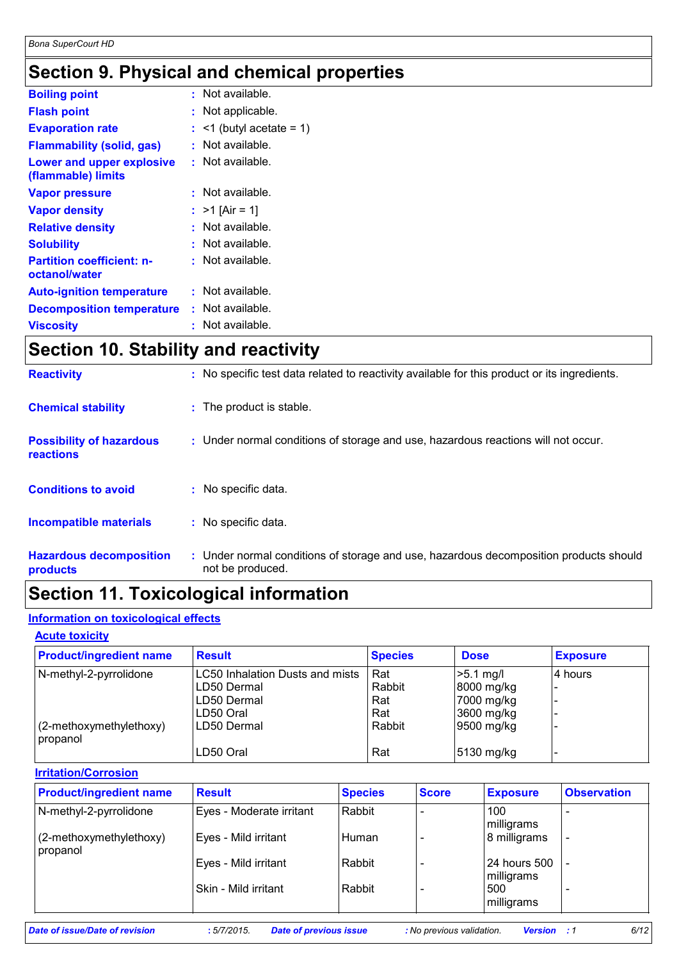### **Section 9. Physical and chemical properties**

| <b>Boiling point</b>                                   |    | $:$ Not available.         |
|--------------------------------------------------------|----|----------------------------|
| <b>Flash point</b>                                     | t. | Not applicable.            |
| <b>Evaporation rate</b>                                |    | $:$ <1 (butyl acetate = 1) |
| <b>Flammability (solid, gas)</b>                       |    | Not available.             |
| <b>Lower and upper explosive</b><br>(flammable) limits | ÷. | Not available.             |
| <b>Vapor pressure</b>                                  | t. | Not available.             |
| <b>Vapor density</b>                                   |    | : $>1$ [Air = 1]           |
| <b>Relative density</b>                                | t. | Not available.             |
| <b>Solubility</b>                                      | t. | Not available.             |
| <b>Partition coefficient: n-</b><br>octanol/water      | t. | Not available.             |
| <b>Auto-ignition temperature</b>                       |    | : Not available.           |
| <b>Decomposition temperature</b>                       | ÷. | Not available.             |
| Viscosity                                              | t  | Not available.             |
|                                                        |    |                            |

### **Section 10. Stability and reactivity**

| <b>Reactivity</b>                                   | : No specific test data related to reactivity available for this product or its ingredients.              |
|-----------------------------------------------------|-----------------------------------------------------------------------------------------------------------|
| <b>Chemical stability</b>                           | : The product is stable.                                                                                  |
| <b>Possibility of hazardous</b><br><b>reactions</b> | : Under normal conditions of storage and use, hazardous reactions will not occur.                         |
| <b>Conditions to avoid</b>                          | : No specific data.                                                                                       |
| <b>Incompatible materials</b>                       | : No specific data.                                                                                       |
| <b>Hazardous decomposition</b><br>products          | : Under normal conditions of storage and use, hazardous decomposition products should<br>not be produced. |

### **Section 11. Toxicological information**

### **Information on toxicological effects**

| <b>Acute toxicity</b>               |                                 |                |             |                 |  |  |
|-------------------------------------|---------------------------------|----------------|-------------|-----------------|--|--|
| <b>Product/ingredient name</b>      | <b>Result</b>                   | <b>Species</b> | <b>Dose</b> | <b>Exposure</b> |  |  |
| N-methyl-2-pyrrolidone              | LC50 Inhalation Dusts and mists | Rat            | $>5.1$ mg/l | 4 hours         |  |  |
|                                     | LD50 Dermal                     | Rabbit         | 8000 mg/kg  |                 |  |  |
|                                     | LD50 Dermal                     | Rat            | 7000 mg/kg  |                 |  |  |
|                                     | LD50 Oral                       | Rat            | 3600 mg/kg  |                 |  |  |
| (2-methoxymethylethoxy)<br>propanol | LD50 Dermal                     | Rabbit         | 9500 mg/kg  |                 |  |  |
|                                     | LD50 Oral                       | Rat            | 5130 mg/kg  |                 |  |  |

| <b>Irritation/Corrosion</b>         |                          |                |              |                            |                    |  |  |
|-------------------------------------|--------------------------|----------------|--------------|----------------------------|--------------------|--|--|
| <b>Product/ingredient name</b>      | <b>Result</b>            | <b>Species</b> | <b>Score</b> | <b>Exposure</b>            | <b>Observation</b> |  |  |
| N-methyl-2-pyrrolidone              | Eyes - Moderate irritant | Rabbit         |              | 100<br>milligrams          |                    |  |  |
| (2-methoxymethylethoxy)<br>propanol | Eyes - Mild irritant     | Human          |              | 8 milligrams               |                    |  |  |
|                                     | Eyes - Mild irritant     | Rabbit         |              | 24 hours 500<br>milligrams |                    |  |  |
|                                     | Skin - Mild irritant     | Rabbit         |              | 500<br>milligrams          |                    |  |  |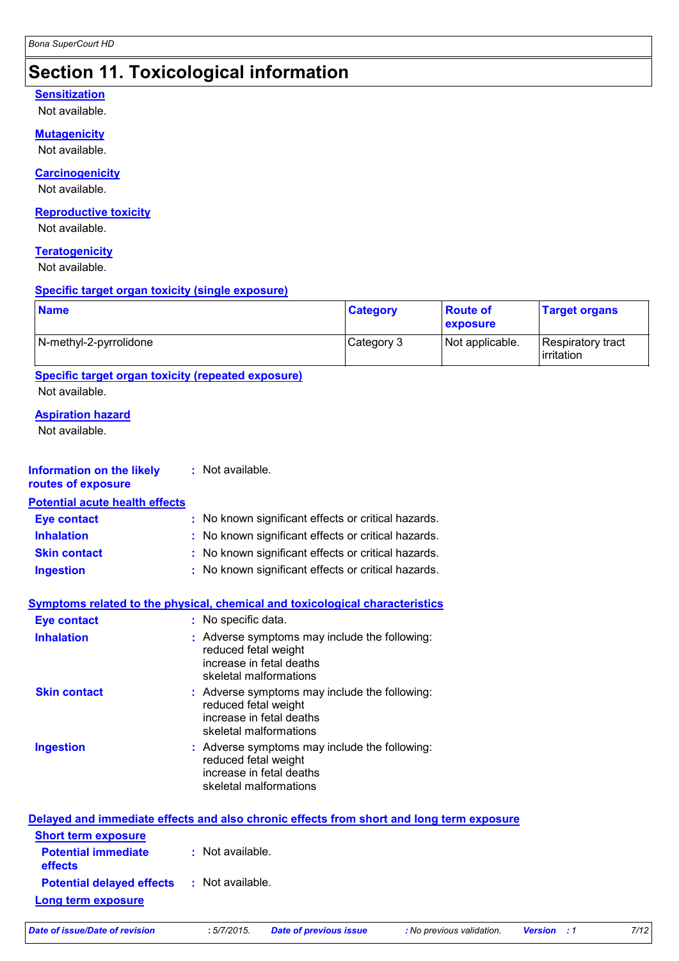## **Section 11. Toxicological information**

#### **Sensitization**

Not available.

#### **Mutagenicity**

Not available.

### **Carcinogenicity**

Not available.

#### **Reproductive toxicity**

Not available.

### **Teratogenicity**

Not available.

#### **Specific target organ toxicity (single exposure)**

| <b>Name</b>            | <b>Category</b> | ∣ Route of<br>exposure | <b>Target organs</b>            |
|------------------------|-----------------|------------------------|---------------------------------|
| N-methyl-2-pyrrolidone | Category 3      | Not applicable.        | Respiratory tract<br>irritation |

### **Specific target organ toxicity (repeated exposure)**

Not available.

### **Aspiration hazard**

Not available.

| <b>Information on the likely</b><br>routes of exposure | : Not available.                                                                                                            |
|--------------------------------------------------------|-----------------------------------------------------------------------------------------------------------------------------|
| <b>Potential acute health effects</b>                  |                                                                                                                             |
| <b>Eye contact</b>                                     | : No known significant effects or critical hazards.                                                                         |
| <b>Inhalation</b>                                      | : No known significant effects or critical hazards.                                                                         |
| <b>Skin contact</b>                                    | : No known significant effects or critical hazards.                                                                         |
| <b>Ingestion</b>                                       | : No known significant effects or critical hazards.                                                                         |
| <b>Eye contact</b>                                     | Symptoms related to the physical, chemical and toxicological characteristics<br>: No specific data.                         |
| <b>Inhalation</b>                                      | : Adverse symptoms may include the following:<br>reduced fetal weight<br>increase in fetal deaths<br>skeletal malformations |
| <b>Skin contact</b>                                    |                                                                                                                             |

|                  | reduced fetal weight<br>increase in fetal deaths<br>skeletal malformations                        |
|------------------|---------------------------------------------------------------------------------------------------|
| <b>Ingestion</b> | : Adverse symptoms may include the following:<br>reduced fetal weight<br>increase in fetal deaths |

| Delayed and immediate effects and also chronic effects from short and long term exposure |                  |  |  |  |
|------------------------------------------------------------------------------------------|------------------|--|--|--|
| <b>Short term exposure</b>                                                               |                  |  |  |  |
| <b>Potential immediate</b><br><b>effects</b>                                             | : Not available. |  |  |  |
| <b>Potential delayed effects : Not available.</b>                                        |                  |  |  |  |
| Long term exposure                                                                       |                  |  |  |  |

skeletal malformations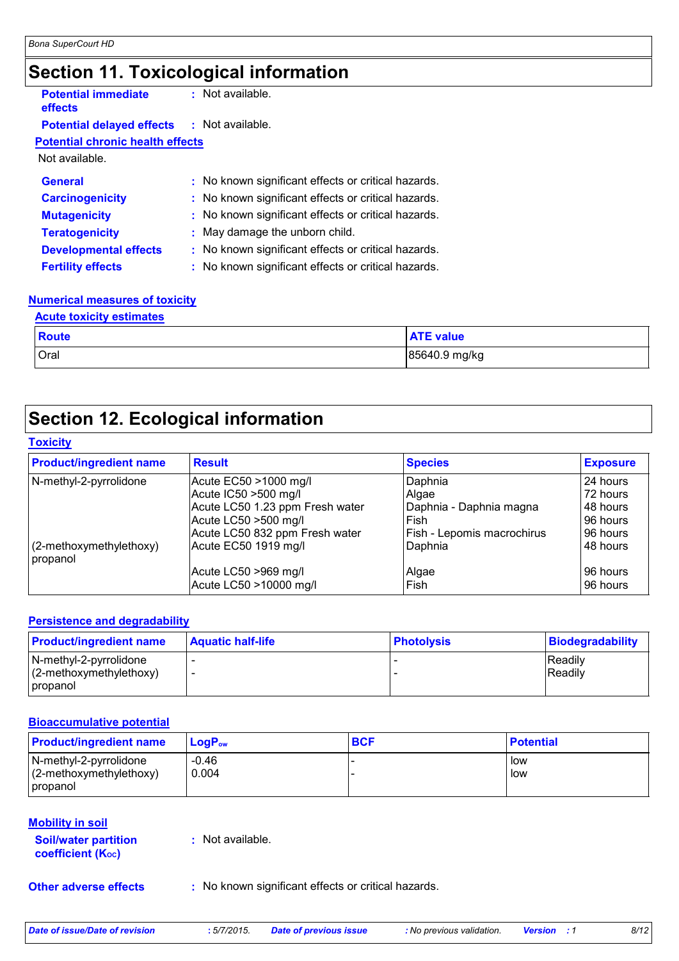### **Section 11. Toxicological information**

| <b>Potential immediate</b><br>effects   | : Not available.                                    |
|-----------------------------------------|-----------------------------------------------------|
| <b>Potential delayed effects</b>        | $:$ Not available.                                  |
| <b>Potential chronic health effects</b> |                                                     |
| Not available.                          |                                                     |
| <b>General</b>                          | : No known significant effects or critical hazards. |
| <b>Carcinogenicity</b>                  | : No known significant effects or critical hazards. |
| <b>Mutagenicity</b>                     | : No known significant effects or critical hazards. |
| <b>Teratogenicity</b>                   | : May damage the unborn child.                      |
| <b>Developmental effects</b>            | : No known significant effects or critical hazards. |
| <b>Fertility effects</b>                | : No known significant effects or critical hazards. |
|                                         |                                                     |

### **Numerical measures of toxicity**

| <b>Acute toxicity estimates</b> |             |                  |  |
|---------------------------------|-------------|------------------|--|
|                                 | Route       | <b>ATE</b> value |  |
|                                 | <b>Oral</b> | 85640.9 mg/kg    |  |

### **Section 12. Ecological information**

### **Toxicity**

| <b>Product/ingredient name</b>      | <b>Result</b>                                                                  | <b>Species</b>                                | <b>Exposure</b>                     |
|-------------------------------------|--------------------------------------------------------------------------------|-----------------------------------------------|-------------------------------------|
| N-methyl-2-pyrrolidone              | Acute EC50 >1000 mg/l                                                          | Daphnia                                       | 24 hours                            |
|                                     | Acute IC50 >500 mg/l                                                           | Algae                                         | 72 hours                            |
|                                     | Acute LC50 1.23 ppm Fresh water                                                | Daphnia - Daphnia magna                       | l 48 hours                          |
| (2-methoxymethylethoxy)<br>propanol | Acute LC50 >500 mg/l<br>Acute LC50 832 ppm Fresh water<br>Acute EC50 1919 mg/l | Fish<br>Fish - Lepomis macrochirus<br>Daphnia | 96 hours<br>196 hours<br>l 48 hours |
|                                     | Acute LC50 >969 mg/l                                                           | Algae                                         | 96 hours                            |
|                                     | Acute LC50 >10000 mg/l                                                         | Fish                                          | l 96 hours                          |

#### **Persistence and degradability**

| <b>Product/ingredient name</b>                       | <b>Aquatic half-life</b> | <b>Photolysis</b> | <b>Biodegradability</b> |
|------------------------------------------------------|--------------------------|-------------------|-------------------------|
| N-methyl-2-pyrrolidone<br>$(2$ -methoxymethylethoxy) |                          |                   | Readily<br>Readily      |
| <i><b>I</b></i> propanol                             |                          |                   |                         |

#### **Bioaccumulative potential**

| <b>Product/ingredient name</b>                                   | $\mathsf{LogP}_\mathsf{ow}$ | <b>BCF</b> | <b>Potential</b> |
|------------------------------------------------------------------|-----------------------------|------------|------------------|
| N-methyl-2-pyrrolidone<br>$(2$ -methoxymethylethoxy)<br>propanol | $-0.46$<br>0.004            |            | l low<br>l low   |

#### **Mobility in soil**

**Soil/water partition coefficient (Koc)** 

**:** Not available.

**Other adverse effects** : No known significant effects or critical hazards.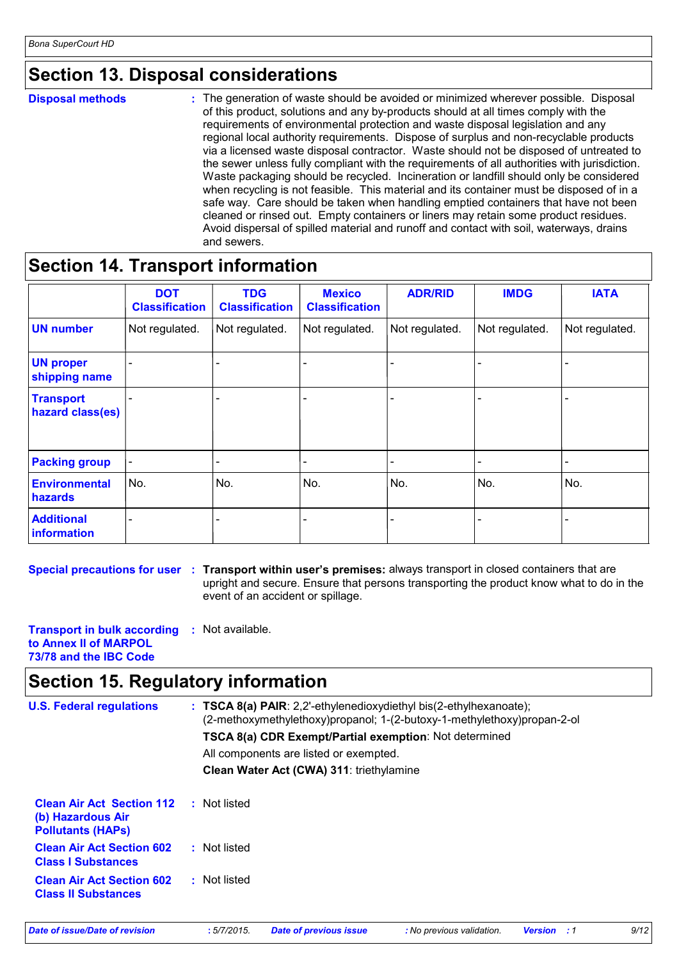### **Section 13. Disposal considerations**

**Disposal methods :**

The generation of waste should be avoided or minimized wherever possible. Disposal of this product, solutions and any by-products should at all times comply with the requirements of environmental protection and waste disposal legislation and any regional local authority requirements. Dispose of surplus and non-recyclable products via a licensed waste disposal contractor. Waste should not be disposed of untreated to the sewer unless fully compliant with the requirements of all authorities with jurisdiction. Waste packaging should be recycled. Incineration or landfill should only be considered when recycling is not feasible. This material and its container must be disposed of in a safe way. Care should be taken when handling emptied containers that have not been cleaned or rinsed out. Empty containers or liners may retain some product residues. Avoid dispersal of spilled material and runoff and contact with soil, waterways, drains and sewers.

### **Section 14. Transport information**

|                                        | <b>DOT</b><br><b>Classification</b> | <b>TDG</b><br><b>Classification</b> | <b>Mexico</b><br><b>Classification</b> | <b>ADR/RID</b> | <b>IMDG</b>    | <b>IATA</b>    |
|----------------------------------------|-------------------------------------|-------------------------------------|----------------------------------------|----------------|----------------|----------------|
| <b>UN number</b>                       | Not regulated.                      | Not regulated.                      | Not regulated.                         | Not regulated. | Not regulated. | Not regulated. |
| <b>UN proper</b><br>shipping name      |                                     |                                     |                                        |                |                |                |
| <b>Transport</b><br>hazard class(es)   |                                     |                                     |                                        |                |                |                |
| <b>Packing group</b>                   | $\qquad \qquad$                     |                                     |                                        |                | ۰              |                |
| <b>Environmental</b><br><b>hazards</b> | No.                                 | No.                                 | No.                                    | No.            | No.            | No.            |
| <b>Additional</b><br>information       |                                     |                                     |                                        |                |                |                |

**Special precautions for user** : Transport within user's premises: always transport in closed containers that are upright and secure. Ensure that persons transporting the product know what to do in the event of an accident or spillage.

**Transport in bulk according :** Not available. **to Annex II of MARPOL 73/78 and the IBC Code**

### **Section 15. Regulatory information**

| <b>U.S. Federal regulations</b>                                                   | $:$ TSCA 8(a) PAIR: 2,2'-ethylenedioxydiethyl bis(2-ethylhexanoate);<br>(2-methoxymethylethoxy)propanol; 1-(2-butoxy-1-methylethoxy)propan-2-ol<br><b>TSCA 8(a) CDR Exempt/Partial exemption:</b> Not determined<br>All components are listed or exempted.<br>Clean Water Act (CWA) 311: triethylamine |
|-----------------------------------------------------------------------------------|--------------------------------------------------------------------------------------------------------------------------------------------------------------------------------------------------------------------------------------------------------------------------------------------------------|
| <b>Clean Air Act Section 112</b><br>(b) Hazardous Air<br><b>Pollutants (HAPS)</b> | : Not listed                                                                                                                                                                                                                                                                                           |
| <b>Clean Air Act Section 602</b><br><b>Class I Substances</b>                     | : Not listed                                                                                                                                                                                                                                                                                           |
| <b>Clean Air Act Section 602</b><br><b>Class II Substances</b>                    | : Not listed                                                                                                                                                                                                                                                                                           |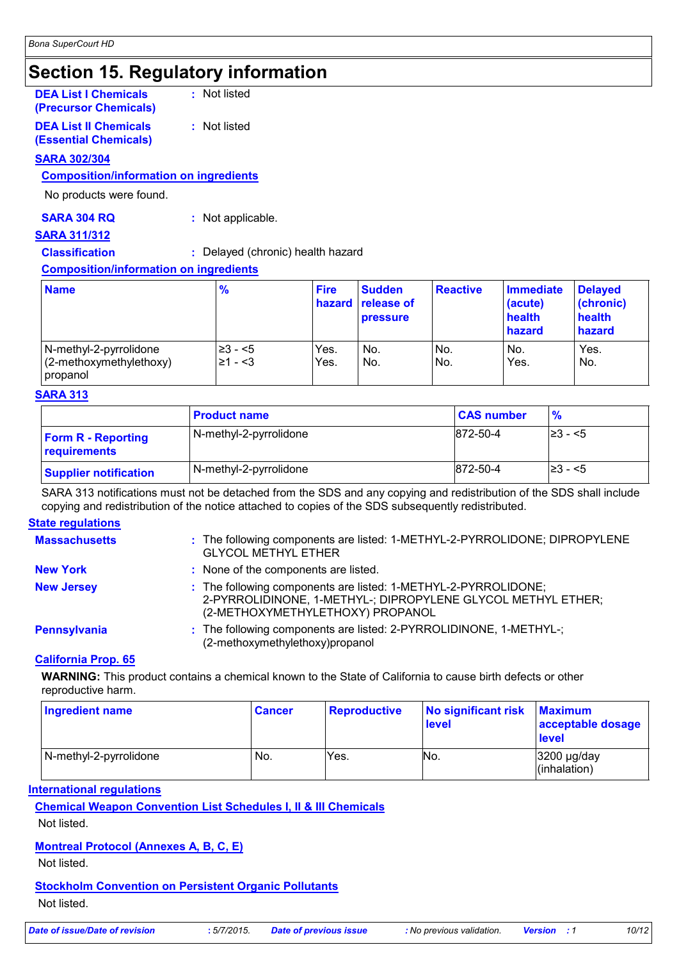### **Section 15. Regulatory information**

| <b>DEA List I Chemicals</b><br>(Precursor Chemicals)         | : Not listed |
|--------------------------------------------------------------|--------------|
| <b>DEA List II Chemicals</b><br><b>(Essential Chemicals)</b> | : Not listed |

#### **SARA 302/304**

#### **Composition/information on ingredients**

No products were found.

#### **SARA 304 RQ :** Not applicable.

#### **SARA 311/312**

**Classification :** Delayed (chronic) health hazard

#### **Composition/information on ingredients**

| <b>Name</b>                                                   | $\frac{9}{6}$            | <b>Fire</b>  | <b>Sudden</b><br>hazard release of<br><b>pressure</b> | <b>Reactive</b> | Immediate<br>(acute)<br>health<br>hazard | <b>Delayed</b><br>(chronic)<br>health<br>hazard |
|---------------------------------------------------------------|--------------------------|--------------|-------------------------------------------------------|-----------------|------------------------------------------|-------------------------------------------------|
| N-methyl-2-pyrrolidone<br>(2-methoxymethylethoxy)<br>propanol | !≥3 - <5<br>$\geq 1 - 3$ | Yes.<br>Yes. | No.<br>No.                                            | No.<br>No.      | No.<br>Yes.                              | Yes.<br>No.                                     |

#### **SARA 313**

|                                           | <b>Product name</b>    | <b>CAS number</b> | $\frac{9}{6}$ |
|-------------------------------------------|------------------------|-------------------|---------------|
| <b>Form R - Reporting</b><br>requirements | N-methyl-2-pyrrolidone | 872-50-4          | 1≥3 - <5      |
| <b>Supplier notification</b>              | N-methyl-2-pyrrolidone | 872-50-4          | 1≥3 - <5      |

SARA 313 notifications must not be detached from the SDS and any copying and redistribution of the SDS shall include copying and redistribution of the notice attached to copies of the SDS subsequently redistributed.

#### **State regulations**

| <b>Massachusetts</b> | : The following components are listed: 1-METHYL-2-PYRROLIDONE; DIPROPYLENE<br><b>GLYCOL METHYL ETHER</b>                                                           |
|----------------------|--------------------------------------------------------------------------------------------------------------------------------------------------------------------|
| <b>New York</b>      | : None of the components are listed.                                                                                                                               |
| <b>New Jersey</b>    | : The following components are listed: 1-METHYL-2-PYRROLIDONE;<br>2-PYRROLIDINONE, 1-METHYL-; DIPROPYLENE GLYCOL METHYL ETHER;<br>(2-METHOXYMETHYLETHOXY) PROPANOL |
| <b>Pennsylvania</b>  | : The following components are listed: 2-PYRROLIDINONE, 1-METHYL-;<br>(2-methoxymethylethoxy)propanol                                                              |

#### **California Prop. 65**

**WARNING:** This product contains a chemical known to the State of California to cause birth defects or other reproductive harm.

| <b>Ingredient name</b> | <b>Cancer</b> | <b>Reproductive</b> | No significant risk<br>level | <b>Maximum</b><br>acceptable dosage<br>level |
|------------------------|---------------|---------------------|------------------------------|----------------------------------------------|
| N-methyl-2-pyrrolidone | No.           | Yes.                | No.                          | $3200$ µg/day<br>(inhalation)                |

#### **International regulations**

### **Chemical Weapon Convention List Schedules I, II & III Chemicals**

Not listed.

#### **Montreal Protocol (Annexes A, B, C, E)**

Not listed.

### **Stockholm Convention on Persistent Organic Pollutants**

Not listed.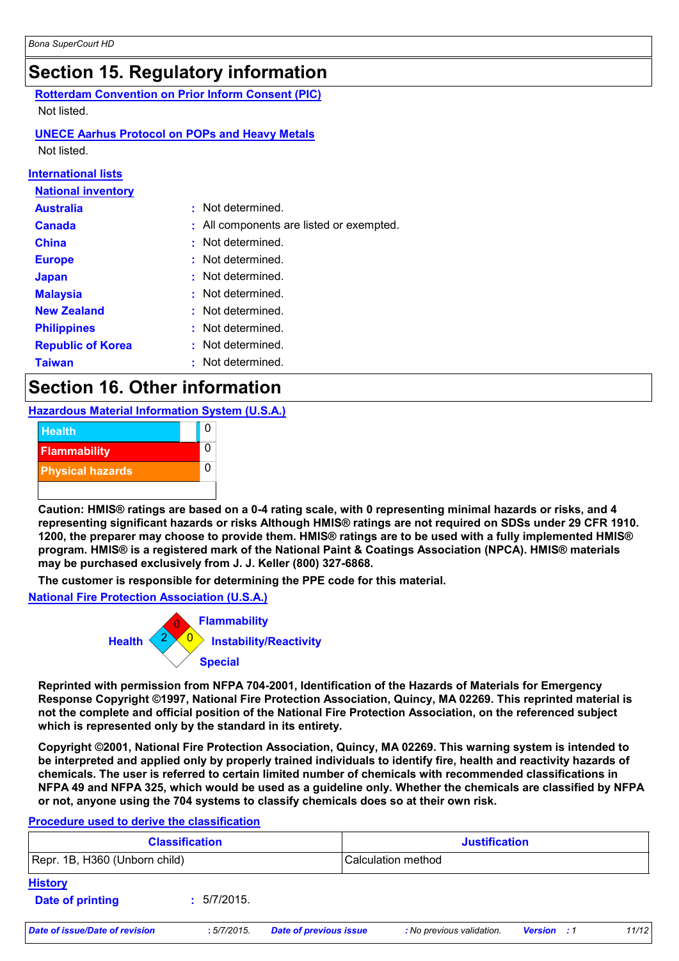### **Section 15. Regulatory information**

**Rotterdam Convention on Prior Inform Consent (PIC)**

Not listed.

### **UNECE Aarhus Protocol on POPs and Heavy Metals**

Not listed.

#### **International lists**

| <b>National inventory</b> |                                          |
|---------------------------|------------------------------------------|
| <b>Australia</b>          | : Not determined.                        |
| <b>Canada</b>             | : All components are listed or exempted. |
| <b>China</b>              | : Not determined.                        |
| <b>Europe</b>             | : Not determined.                        |
| <b>Japan</b>              | : Not determined.                        |
| <b>Malaysia</b>           | Not determined.                          |
| <b>New Zealand</b>        | : Not determined.                        |
| <b>Philippines</b>        | : Not determined.                        |
| <b>Republic of Korea</b>  | : Not determined.                        |
| <b>Taiwan</b>             | Not determined.                          |

### **Section 16. Other information**

**Hazardous Material Information System (U.S.A.)**



**Caution: HMIS® ratings are based on a 0-4 rating scale, with 0 representing minimal hazards or risks, and 4 representing significant hazards or risks Although HMIS® ratings are not required on SDSs under 29 CFR 1910. 1200, the preparer may choose to provide them. HMIS® ratings are to be used with a fully implemented HMIS® program. HMIS® is a registered mark of the National Paint & Coatings Association (NPCA). HMIS® materials may be purchased exclusively from J. J. Keller (800) 327-6868.**

**The customer is responsible for determining the PPE code for this material.**

**National Fire Protection Association (U.S.A.)**



**Reprinted with permission from NFPA 704-2001, Identification of the Hazards of Materials for Emergency Response Copyright ©1997, National Fire Protection Association, Quincy, MA 02269. This reprinted material is not the complete and official position of the National Fire Protection Association, on the referenced subject which is represented only by the standard in its entirety.**

**Copyright ©2001, National Fire Protection Association, Quincy, MA 02269. This warning system is intended to be interpreted and applied only by properly trained individuals to identify fire, health and reactivity hazards of chemicals. The user is referred to certain limited number of chemicals with recommended classifications in NFPA 49 and NFPA 325, which would be used as a guideline only. Whether the chemicals are classified by NFPA or not, anyone using the 704 systems to classify chemicals does so at their own risk.**

#### **Procedure used to derive the classification**

|                                    | <b>Classification</b> |                               | <b>Justification</b>      |                    |       |
|------------------------------------|-----------------------|-------------------------------|---------------------------|--------------------|-------|
| Repr. 1B, H360 (Unborn child)      |                       |                               | Calculation method        |                    |       |
| <b>History</b><br>Date of printing | : 5/7/2015.           |                               |                           |                    |       |
| Date of issue/Date of revision     | :5/7/2015.            | <b>Date of previous issue</b> | : No previous validation. | <b>Version</b> : 1 | 11/12 |